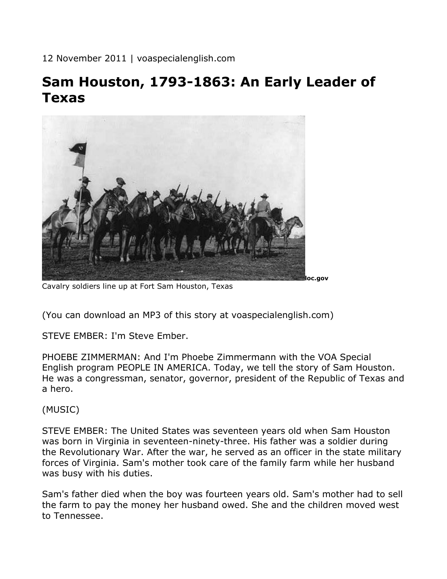12 November 2011 | voaspecialenglish.com

# **Sam Houston, 1793-1863: An Early Leader of Texas**



Cavalry soldiers line up at Fort Sam Houston, Texas

(You can download an MP3 of this story at voaspecialenglish.com)

STEVE EMBER: I'm Steve Ember.

PHOEBE ZIMMERMAN: And I'm Phoebe Zimmermann with the VOA Special English program PEOPLE IN AMERICA. Today, we tell the story of Sam Houston. He was a congressman, senator, governor, president of the Republic of Texas and a hero.

(MUSIC)

STEVE EMBER: The United States was seventeen years old when Sam Houston was born in Virginia in seventeen-ninety-three. His father was a soldier during the Revolutionary War. After the war, he served as an officer in the state military forces of Virginia. Sam's mother took care of the family farm while her husband was busy with his duties.

Sam's father died when the boy was fourteen years old. Sam's mother had to sell the farm to pay the money her husband owed. She and the children moved west to Tennessee.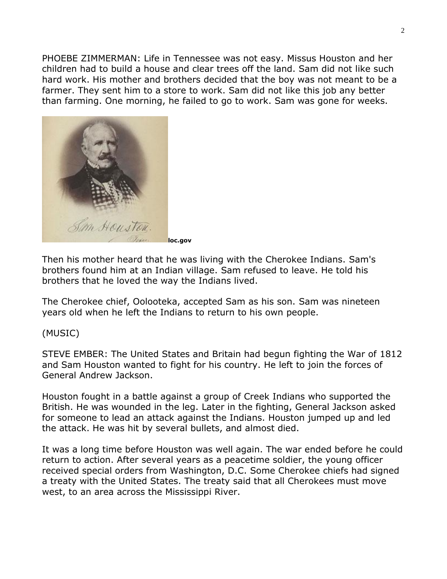PHOEBE ZIMMERMAN: Life in Tennessee was not easy. Missus Houston and her children had to build a house and clear trees off the land. Sam did not like such hard work. His mother and brothers decided that the boy was not meant to be a farmer. They sent him to a store to work. Sam did not like this job any better than farming. One morning, he failed to go to work. Sam was gone for weeks.



Then his mother heard that he was living with the Cherokee Indians. Sam's brothers found him at an Indian village. Sam refused to leave. He told his brothers that he loved the way the Indians lived.

The Cherokee chief, Oolooteka, accepted Sam as his son. Sam was nineteen years old when he left the Indians to return to his own people.

#### (MUSIC)

STEVE EMBER: The United States and Britain had begun fighting the War of 1812 and Sam Houston wanted to fight for his country. He left to join the forces of General Andrew Jackson.

Houston fought in a battle against a group of Creek Indians who supported the British. He was wounded in the leg. Later in the fighting, General Jackson asked for someone to lead an attack against the Indians. Houston jumped up and led the attack. He was hit by several bullets, and almost died.

It was a long time before Houston was well again. The war ended before he could return to action. After several years as a peacetime soldier, the young officer received special orders from Washington, D.C. Some Cherokee chiefs had signed a treaty with the United States. The treaty said that all Cherokees must move west, to an area across the Mississippi River.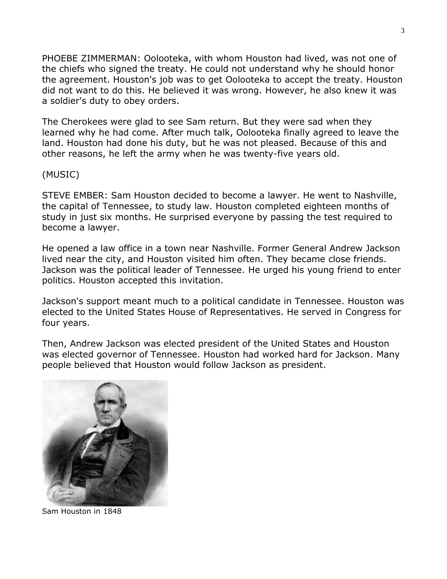PHOEBE ZIMMERMAN: Oolooteka, with whom Houston had lived, was not one of the chiefs who signed the treaty. He could not understand why he should honor the agreement. Houston's job was to get Oolooteka to accept the treaty. Houston did not want to do this. He believed it was wrong. However, he also knew it was a soldier's duty to obey orders.

The Cherokees were glad to see Sam return. But they were sad when they learned why he had come. After much talk, Oolooteka finally agreed to leave the land. Houston had done his duty, but he was not pleased. Because of this and other reasons, he left the army when he was twenty-five years old.

(MUSIC)

STEVE EMBER: Sam Houston decided to become a lawyer. He went to Nashville, the capital of Tennessee, to study law. Houston completed eighteen months of study in just six months. He surprised everyone by passing the test required to become a lawyer.

He opened a law office in a town near Nashville. Former General Andrew Jackson lived near the city, and Houston visited him often. They became close friends. Jackson was the political leader of Tennessee. He urged his young friend to enter politics. Houston accepted this invitation.

Jackson's support meant much to a political candidate in Tennessee. Houston was elected to the United States House of Representatives. He served in Congress for four years.

Then, Andrew Jackson was elected president of the United States and Houston was elected governor of Tennessee. Houston had worked hard for Jackson. Many people believed that Houston would follow Jackson as president.



Sam Houston in 1848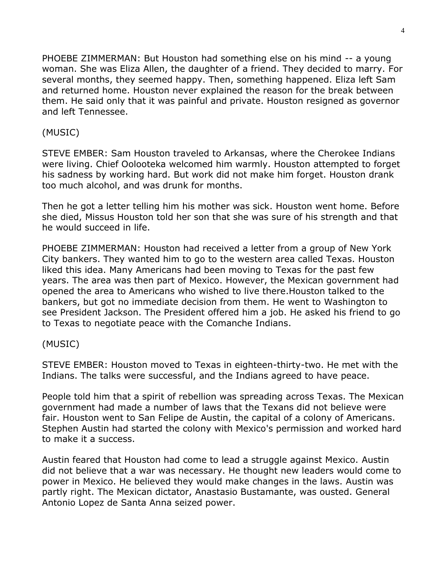PHOEBE ZIMMERMAN: But Houston had something else on his mind -- a young woman. She was Eliza Allen, the daughter of a friend. They decided to marry. For several months, they seemed happy. Then, something happened. Eliza left Sam and returned home. Houston never explained the reason for the break between them. He said only that it was painful and private. Houston resigned as governor and left Tennessee.

## (MUSIC)

STEVE EMBER: Sam Houston traveled to Arkansas, where the Cherokee Indians were living. Chief Oolooteka welcomed him warmly. Houston attempted to forget his sadness by working hard. But work did not make him forget. Houston drank too much alcohol, and was drunk for months.

Then he got a letter telling him his mother was sick. Houston went home. Before she died, Missus Houston told her son that she was sure of his strength and that he would succeed in life.

PHOEBE ZIMMERMAN: Houston had received a letter from a group of New York City bankers. They wanted him to go to the western area called Texas. Houston liked this idea. Many Americans had been moving to Texas for the past few years. The area was then part of Mexico. However, the Mexican government had opened the area to Americans who wished to live there.Houston talked to the bankers, but got no immediate decision from them. He went to Washington to see President Jackson. The President offered him a job. He asked his friend to go to Texas to negotiate peace with the Comanche Indians.

### (MUSIC)

STEVE EMBER: Houston moved to Texas in eighteen-thirty-two. He met with the Indians. The talks were successful, and the Indians agreed to have peace.

People told him that a spirit of rebellion was spreading across Texas. The Mexican government had made a number of laws that the Texans did not believe were fair. Houston went to San Felipe de Austin, the capital of a colony of Americans. Stephen Austin had started the colony with Mexico's permission and worked hard to make it a success.

Austin feared that Houston had come to lead a struggle against Mexico. Austin did not believe that a war was necessary. He thought new leaders would come to power in Mexico. He believed they would make changes in the laws. Austin was partly right. The Mexican dictator, Anastasio Bustamante, was ousted. General Antonio Lopez de Santa Anna seized power.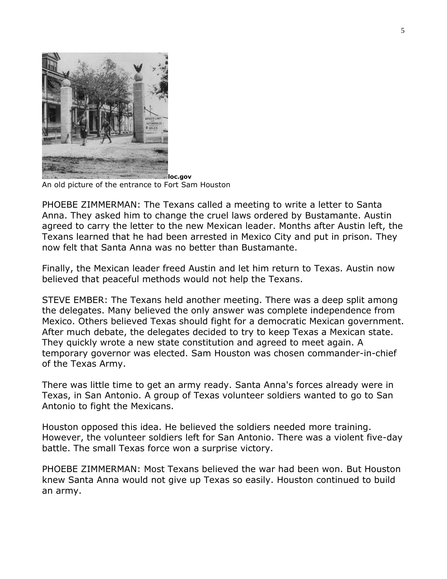

An old picture of the entrance to Fort Sam Houston

PHOEBE ZIMMERMAN: The Texans called a meeting to write a letter to Santa Anna. They asked him to change the cruel laws ordered by Bustamante. Austin agreed to carry the letter to the new Mexican leader. Months after Austin left, the Texans learned that he had been arrested in Mexico City and put in prison. They now felt that Santa Anna was no better than Bustamante.

Finally, the Mexican leader freed Austin and let him return to Texas. Austin now believed that peaceful methods would not help the Texans.

STEVE EMBER: The Texans held another meeting. There was a deep split among the delegates. Many believed the only answer was complete independence from Mexico. Others believed Texas should fight for a democratic Mexican government. After much debate, the delegates decided to try to keep Texas a Mexican state. They quickly wrote a new state constitution and agreed to meet again. A temporary governor was elected. Sam Houston was chosen commander-in-chief of the Texas Army.

There was little time to get an army ready. Santa Anna's forces already were in Texas, in San Antonio. A group of Texas volunteer soldiers wanted to go to San Antonio to fight the Mexicans.

Houston opposed this idea. He believed the soldiers needed more training. However, the volunteer soldiers left for San Antonio. There was a violent five-day battle. The small Texas force won a surprise victory.

PHOEBE ZIMMERMAN: Most Texans believed the war had been won. But Houston knew Santa Anna would not give up Texas so easily. Houston continued to build an army.